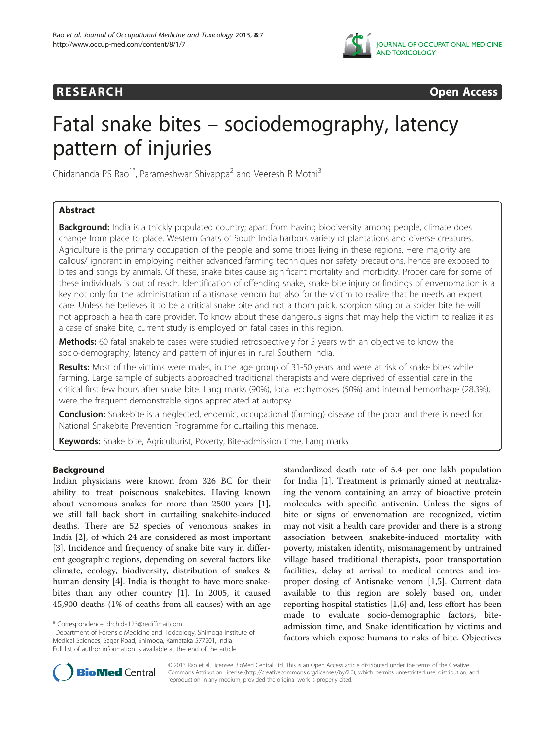

## **RESEARCH CHINESEARCH CHINESEARCH**

# Fatal snake bites – sociodemography, latency pattern of injuries

Chidananda PS Rao<sup>1\*</sup>, Parameshwar Shivappa<sup>2</sup> and Veeresh R Mothi<sup>3</sup>

## Abstract

Background: India is a thickly populated country; apart from having biodiversity among people, climate does change from place to place. Western Ghats of South India harbors variety of plantations and diverse creatures. Agriculture is the primary occupation of the people and some tribes living in these regions. Here majority are callous/ ignorant in employing neither advanced farming techniques nor safety precautions, hence are exposed to bites and stings by animals. Of these, snake bites cause significant mortality and morbidity. Proper care for some of these individuals is out of reach. Identification of offending snake, snake bite injury or findings of envenomation is a key not only for the administration of antisnake venom but also for the victim to realize that he needs an expert care. Unless he believes it to be a critical snake bite and not a thorn prick, scorpion sting or a spider bite he will not approach a health care provider. To know about these dangerous signs that may help the victim to realize it as a case of snake bite, current study is employed on fatal cases in this region.

**Methods:** 60 fatal snakebite cases were studied retrospectively for 5 years with an objective to know the socio-demography, latency and pattern of injuries in rural Southern India.

Results: Most of the victims were males, in the age group of 31-50 years and were at risk of snake bites while farming. Large sample of subjects approached traditional therapists and were deprived of essential care in the critical first few hours after snake bite. Fang marks (90%), local ecchymoses (50%) and internal hemorrhage (28.3%), were the frequent demonstrable signs appreciated at autopsy.

Conclusion: Snakebite is a neglected, endemic, occupational (farming) disease of the poor and there is need for National Snakebite Prevention Programme for curtailing this menace.

Keywords: Snake bite, Agriculturist, Poverty, Bite-admission time, Fang marks

## Background

Indian physicians were known from 326 BC for their ability to treat poisonous snakebites. Having known about venomous snakes for more than 2500 years [\[1](#page-4-0)], we still fall back short in curtailing snakebite-induced deaths. There are 52 species of venomous snakes in India [\[2](#page-4-0)], of which 24 are considered as most important [[3\]](#page-4-0). Incidence and frequency of snake bite vary in different geographic regions, depending on several factors like climate, ecology, biodiversity, distribution of snakes & human density [[4\]](#page-4-0). India is thought to have more snakebites than any other country [\[1](#page-4-0)]. In 2005, it caused 45,900 deaths (1% of deaths from all causes) with an age standardized death rate of 5.4 per one lakh population for India [[1\]](#page-4-0). Treatment is primarily aimed at neutralizing the venom containing an array of bioactive protein molecules with specific antivenin. Unless the signs of bite or signs of envenomation are recognized, victim may not visit a health care provider and there is a strong association between snakebite-induced mortality with poverty, mistaken identity, mismanagement by untrained village based traditional therapists, poor transportation facilities, delay at arrival to medical centres and improper dosing of Antisnake venom [\[1,5](#page-4-0)]. Current data available to this region are solely based on, under reporting hospital statistics [[1,6\]](#page-4-0) and, less effort has been made to evaluate socio-demographic factors, biteadmission time, and Snake identification by victims and factors which expose humans to risks of bite. Objectives



© 2013 Rao et al.; licensee BioMed Central Ltd. This is an Open Access article distributed under the terms of the Creative Commons Attribution License [\(http://creativecommons.org/licenses/by/2.0\)](http://creativecommons.org/licenses/by/2.0), which permits unrestricted use, distribution, and reproduction in any medium, provided the original work is properly cited.

<sup>\*</sup> Correspondence: [drchida123@rediffmail.com](mailto:drchida123@rediffmail.com) <sup>1</sup>

<sup>&</sup>lt;sup>1</sup>Department of Forensic Medicine and Toxicology, Shimoga Institute of Medical Sciences, Sagar Road, Shimoga, Karnataka 577201, India Full list of author information is available at the end of the article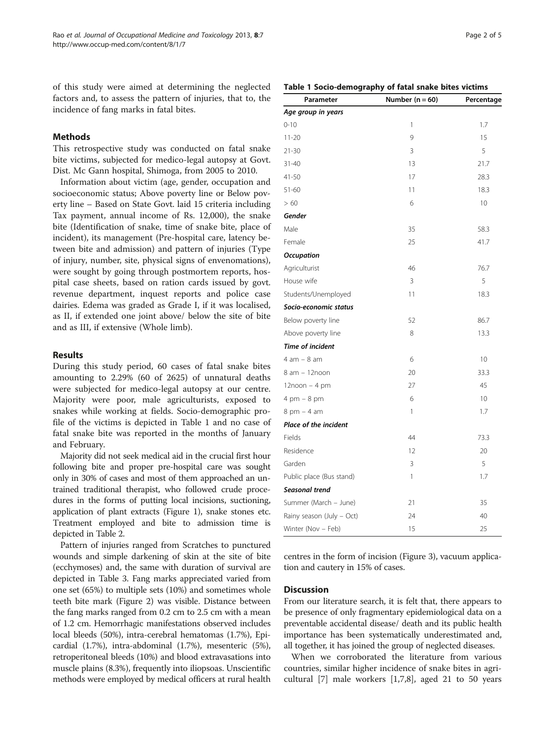of this study were aimed at determining the neglected factors and, to assess the pattern of injuries, that to, the incidence of fang marks in fatal bites.

## Methods

This retrospective study was conducted on fatal snake bite victims, subjected for medico-legal autopsy at Govt. Dist. Mc Gann hospital, Shimoga, from 2005 to 2010.

Information about victim (age, gender, occupation and socioeconomic status; Above poverty line or Below poverty line – Based on State Govt. laid 15 criteria including Tax payment, annual income of Rs. 12,000), the snake bite (Identification of snake, time of snake bite, place of incident), its management (Pre-hospital care, latency between bite and admission) and pattern of injuries (Type of injury, number, site, physical signs of envenomations), were sought by going through postmortem reports, hospital case sheets, based on ration cards issued by govt. revenue department, inquest reports and police case dairies. Edema was graded as Grade I, if it was localised, as II, if extended one joint above/ below the site of bite and as III, if extensive (Whole limb).

## Results

During this study period, 60 cases of fatal snake bites amounting to 2.29% (60 of 2625) of unnatural deaths were subjected for medico-legal autopsy at our centre. Majority were poor, male agriculturists, exposed to snakes while working at fields. Socio-demographic profile of the victims is depicted in Table 1 and no case of fatal snake bite was reported in the months of January and February.

Majority did not seek medical aid in the crucial first hour following bite and proper pre-hospital care was sought only in 30% of cases and most of them approached an untrained traditional therapist, who followed crude procedures in the forms of putting local incisions, suctioning, application of plant extracts (Figure [1](#page-2-0)), snake stones etc. Treatment employed and bite to admission time is depicted in Table [2.](#page-2-0)

Pattern of injuries ranged from Scratches to punctured wounds and simple darkening of skin at the site of bite (ecchymoses) and, the same with duration of survival are depicted in Table [3](#page-2-0). Fang marks appreciated varied from one set (65%) to multiple sets (10%) and sometimes whole teeth bite mark (Figure [2\)](#page-3-0) was visible. Distance between the fang marks ranged from 0.2 cm to 2.5 cm with a mean of 1.2 cm. Hemorrhagic manifestations observed includes local bleeds (50%), intra-cerebral hematomas (1.7%), Epicardial (1.7%), intra-abdominal (1.7%), mesenteric (5%), retroperitoneal bleeds (10%) and blood extravasations into muscle plains (8.3%), frequently into iliopsoas. Unscientific methods were employed by medical officers at rural health

| Age group in years            |    |      |
|-------------------------------|----|------|
| $0 - 10$                      | 1  | 1.7  |
| $11 - 20$                     | 9  | 15   |
| $21 - 30$                     | 3  | 5    |
| $31 - 40$                     | 13 | 21.7 |
| 41-50                         | 17 | 28.3 |
| $51 - 60$                     | 11 | 18.3 |
| >60                           | 6  | 10   |
| Gender                        |    |      |
| Male                          | 35 | 58.3 |
| Female                        | 25 | 41.7 |
| <b>Occupation</b>             |    |      |
| Agriculturist                 | 46 | 76.7 |
| House wife                    | 3  | 5    |
| Students/Unemployed           | 11 | 18.3 |
| Socio-economic status         |    |      |
| Below poverty line            | 52 | 86.7 |
| Above poverty line            | 8  | 13.3 |
| <b>Time of incident</b>       |    |      |
| $4 am - 8 am$                 | 6  | 10   |
| 8 am - 12noon                 | 20 | 33.3 |
| $12$ noon - 4 pm              | 27 | 45   |
| $4 \text{ pm} - 8 \text{ pm}$ | 6  | 10   |
| $8$ pm $-4$ am                | 1  | 1.7  |
| <b>Place of the incident</b>  |    |      |
| Fields                        | 44 | 73.3 |
| Residence                     | 12 | 20   |
| Garden                        | 3  | 5    |
| Public place (Bus stand)      | 1  | 1.7  |
| Seasonal trend                |    |      |
| Summer (March - June)         | 21 | 35   |
| Rainy season (July - Oct)     | 24 | 40   |
| Winter (Nov - Feb)            | 15 | 25   |

Table 1 Socio-demography of fatal snake bites victims

Parameter **Number (n = 60)** Percentage

centres in the form of incision (Figure [3\)](#page-3-0), vacuum application and cautery in 15% of cases.

### **Discussion**

From our literature search, it is felt that, there appears to be presence of only fragmentary epidemiological data on a preventable accidental disease/ death and its public health importance has been systematically underestimated and, all together, it has joined the group of neglected diseases.

When we corroborated the literature from various countries, similar higher incidence of snake bites in agricultural [\[7](#page-4-0)] male workers [\[1,7,8](#page-4-0)], aged 21 to 50 years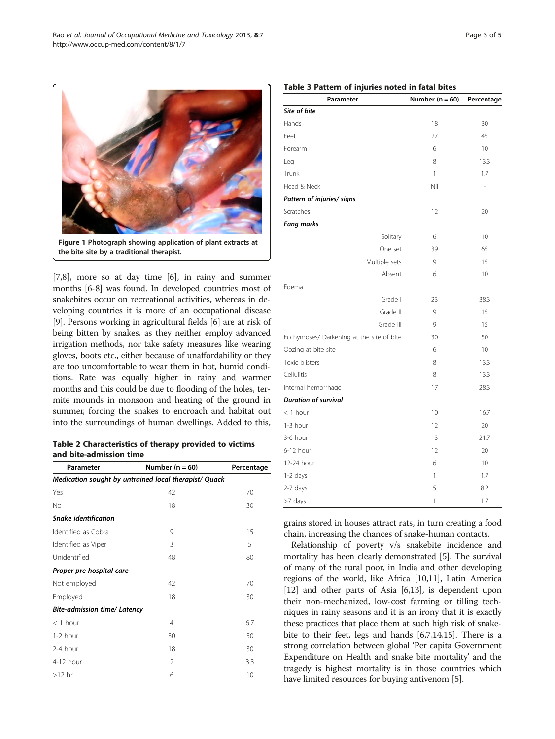[[7,8\]](#page-4-0), more so at day time [\[6](#page-4-0)], in rainy and summer months [\[6-8](#page-4-0)] was found. In developed countries most of snakebites occur on recreational activities, whereas in developing countries it is more of an occupational disease [[9\]](#page-4-0). Persons working in agricultural fields [[6](#page-4-0)] are at risk of being bitten by snakes, as they neither employ advanced irrigation methods, nor take safety measures like wearing gloves, boots etc., either because of unaffordability or they are too uncomfortable to wear them in hot, humid conditions. Rate was equally higher in rainy and warmer months and this could be due to flooding of the holes, termite mounds in monsoon and heating of the ground in summer, forcing the snakes to encroach and habitat out into the surroundings of human dwellings. Added to this,

<span id="page-2-0"></span>Figure 1 Photograph showing application of plant extracts at

the bite site by a traditional therapist.

Table 2 Characteristics of therapy provided to victims and bite-admission time

| Parameter                                             | Number $(n = 60)$ | Percentage |  |  |
|-------------------------------------------------------|-------------------|------------|--|--|
| Medication sought by untrained local therapist/ Quack |                   |            |  |  |
| Yes                                                   | 42                | 70         |  |  |
| No                                                    | 18                | 30         |  |  |
| <b>Snake identification</b>                           |                   |            |  |  |
| Identified as Cobra                                   | 9                 | 15         |  |  |
| Identified as Viper                                   | 3                 | 5          |  |  |
| Unidentified                                          | 48                | 80         |  |  |
| Proper pre-hospital care                              |                   |            |  |  |
| Not employed                                          | 42                | 70         |  |  |
| Employed                                              | 18                | 30         |  |  |
| <b>Bite-admission time/ Latency</b>                   |                   |            |  |  |
| $<$ 1 hour                                            | $\overline{4}$    | 6.7        |  |  |
| $1-2$ hour                                            | 30                | 50         |  |  |
| 2-4 hour                                              | 18                | 30         |  |  |
| 4-12 hour                                             | 2                 | 3.3        |  |  |
| $>12$ hr                                              | 6                 | 10         |  |  |

#### Table 3 Pattern of injuries noted in fatal bites

| Parameter                                 | Number $(n = 60)$ | Percentage     |
|-------------------------------------------|-------------------|----------------|
| Site of bite                              |                   |                |
| Hands                                     | 18                | 30             |
| Feet                                      | 27                | 45             |
| Forearm                                   | 6                 | 10             |
| Leg                                       | 8                 | 13.3           |
| Trunk                                     | 1                 | 1.7            |
| Head & Neck                               | Nil               | $\overline{a}$ |
| Pattern of injuries/ signs                |                   |                |
| Scratches                                 | 12                | 20             |
| <b>Fang marks</b>                         |                   |                |
| Solitary                                  | 6                 | 10             |
| One set                                   | 39                | 65             |
| Multiple sets                             | 9                 | 15             |
| Absent                                    | 6                 | 10             |
| Edema                                     |                   |                |
| Grade I                                   | 23                | 38.3           |
| Grade II                                  | 9                 | 15             |
| Grade III                                 | 9                 | 15             |
| Ecchymoses/ Darkening at the site of bite | 30                | 50             |
| Oozing at bite site                       | 6                 | 10             |
| Toxic blisters                            | 8                 | 13.3           |
| Cellulitis                                | 8                 | 13.3           |
| Internal hemorrhage                       | 17                | 28.3           |
| <b>Duration of survival</b>               |                   |                |
| $<$ 1 hour                                | 10                | 16.7           |
| 1-3 hour                                  | 12                | 20             |
| 3-6 hour                                  | 13                | 21.7           |
| 6-12 hour                                 | 12                | 20             |
| 12-24 hour                                | 6                 | 10             |
| 1-2 days                                  | 1                 | 1.7            |
| 2-7 days                                  | 5                 | 8.2            |
| >7 days                                   | 1                 | 1.7            |

grains stored in houses attract rats, in turn creating a food chain, increasing the chances of snake-human contacts.

Relationship of poverty v/s snakebite incidence and mortality has been clearly demonstrated [[5\]](#page-4-0). The survival of many of the rural poor, in India and other developing regions of the world, like Africa [\[10,11](#page-4-0)], Latin America [[12](#page-4-0)] and other parts of Asia [[6,13](#page-4-0)], is dependent upon their non-mechanized, low-cost farming or tilling techniques in rainy seasons and it is an irony that it is exactly these practices that place them at such high risk of snakebite to their feet, legs and hands [[6,7,14,15\]](#page-4-0). There is a strong correlation between global 'Per capita Government Expenditure on Health and snake bite mortality' and the tragedy is highest mortality is in those countries which have limited resources for buying antivenom [[5\]](#page-4-0).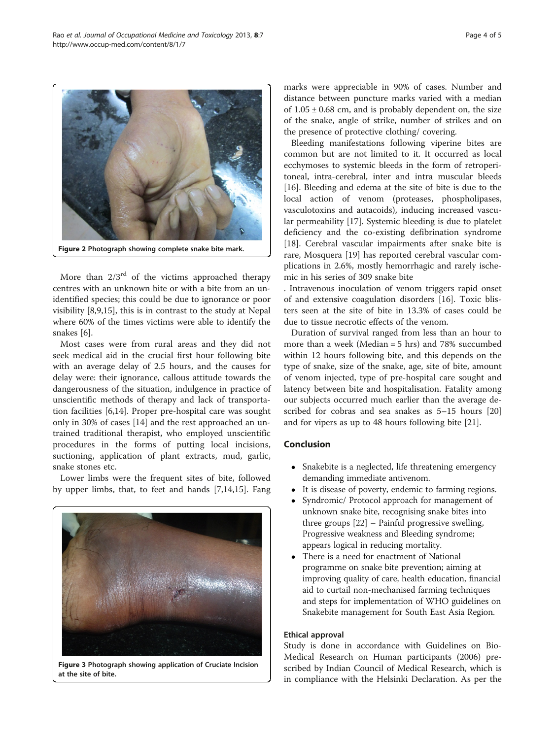More than  $2/3^{rd}$  of the victims approached therapy centres with an unknown bite or with a bite from an unidentified species; this could be due to ignorance or poor visibility [[8,9,15\]](#page-4-0), this is in contrast to the study at Nepal where 60% of the times victims were able to identify the snakes [[6](#page-4-0)].

Most cases were from rural areas and they did not seek medical aid in the crucial first hour following bite with an average delay of 2.5 hours, and the causes for delay were: their ignorance, callous attitude towards the dangerousness of the situation, indulgence in practice of unscientific methods of therapy and lack of transportation facilities [[6,14\]](#page-4-0). Proper pre-hospital care was sought only in 30% of cases [[14](#page-4-0)] and the rest approached an untrained traditional therapist, who employed unscientific procedures in the forms of putting local incisions, suctioning, application of plant extracts, mud, garlic, snake stones etc.

Lower limbs were the frequent sites of bite, followed by upper limbs, that, to feet and hands [[7,14,15\]](#page-4-0). Fang marks were appreciable in 90% of cases. Number and distance between puncture marks varied with a median of  $1.05 \pm 0.68$  cm, and is probably dependent on, the size of the snake, angle of strike, number of strikes and on the presence of protective clothing/ covering.

Bleeding manifestations following viperine bites are common but are not limited to it. It occurred as local ecchymoses to systemic bleeds in the form of retroperitoneal, intra-cerebral, inter and intra muscular bleeds [[16\]](#page-4-0). Bleeding and edema at the site of bite is due to the local action of venom (proteases, phospholipases, vasculotoxins and autacoids), inducing increased vascular permeability [\[17](#page-4-0)]. Systemic bleeding is due to platelet deficiency and the co-existing defibrination syndrome [[18\]](#page-4-0). Cerebral vascular impairments after snake bite is rare, Mosquera [[19\]](#page-4-0) has reported cerebral vascular complications in 2.6%, mostly hemorrhagic and rarely ischemic in his series of 309 snake bite

. Intravenous inoculation of venom triggers rapid onset of and extensive coagulation disorders [[16\]](#page-4-0). Toxic blisters seen at the site of bite in 13.3% of cases could be due to tissue necrotic effects of the venom.

Duration of survival ranged from less than an hour to more than a week (Median = 5 hrs) and 78% succumbed within 12 hours following bite, and this depends on the type of snake, size of the snake, age, site of bite, amount of venom injected, type of pre-hospital care sought and latency between bite and hospitalisation. Fatality among our subjects occurred much earlier than the average described for cobras and sea snakes as 5–15 hours [[20](#page-4-0)] and for vipers as up to 48 hours following bite [[21](#page-4-0)].

## Conclusion

- Snakebite is a neglected, life threatening emergency demanding immediate antivenom.
- It is disease of poverty, endemic to farming regions.
- Syndromic/ Protocol approach for management of unknown snake bite, recognising snake bites into three groups [[22](#page-4-0)] – Painful progressive swelling, Progressive weakness and Bleeding syndrome; appears logical in reducing mortality.
- There is a need for enactment of National programme on snake bite prevention; aiming at improving quality of care, health education, financial aid to curtail non-mechanised farming techniques and steps for implementation of WHO guidelines on Snakebite management for South East Asia Region.

#### Ethical approval

Study is done in accordance with Guidelines on Bio-Medical Research on Human participants (2006) prescribed by Indian Council of Medical Research, which is in compliance with the Helsinki Declaration. As per the

Figure 3 Photograph showing application of Cruciate Incision at the site of bite.

<span id="page-3-0"></span>http://www.occup-med.com/content/8/1/7